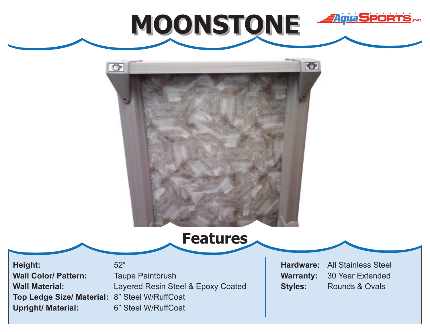



**Features**

**Height: Wall Color/ Pattern: Wall Material: Top Ledge Size/ Material:** 8" Steel W/RuffCoat **Upright/ Material:**

52" Taupe Paintbrush Layered Resin Steel & Epoxy Coated 6" Steel W/RuffCoat

**Hardware: Warranty: Styles:** All Stainless Steel 30 Year Extended Rounds & Ovals